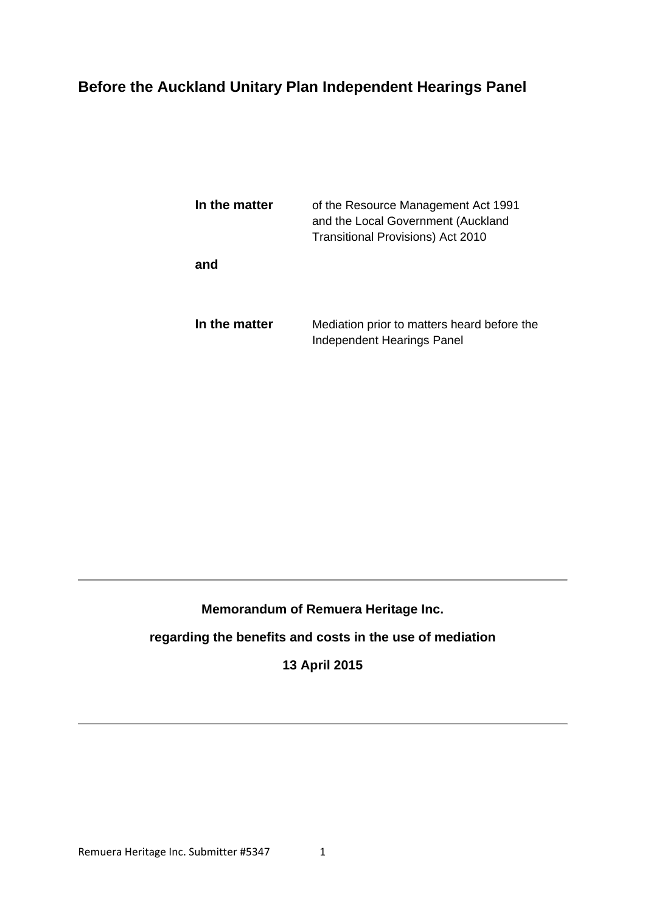## **Before the Auckland Unitary Plan Independent Hearings Panel**

| In the matter | of the Resource Management Act 1991<br>and the Local Government (Auckland<br>Transitional Provisions) Act 2010 |
|---------------|----------------------------------------------------------------------------------------------------------------|
| and           |                                                                                                                |
| In the matter | Mediation prior to matters heard before the<br>Independent Hearings Panel                                      |

## **Memorandum of Remuera Heritage Inc.**

## **regarding the benefits and costs in the use of mediation**

## **13 April 2015**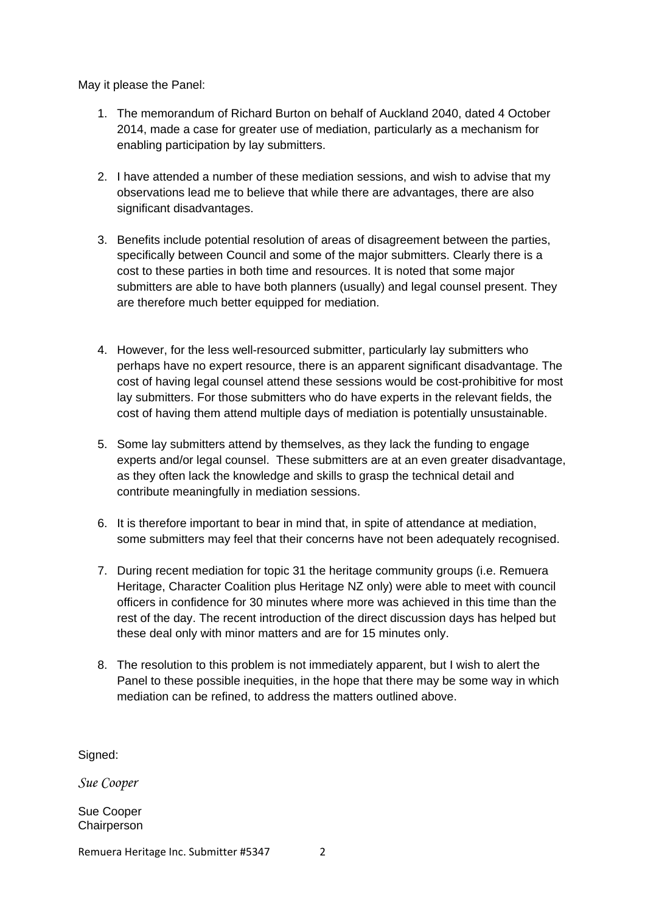May it please the Panel:

- 1. The memorandum of Richard Burton on behalf of Auckland 2040, dated 4 October 2014, made a case for greater use of mediation, particularly as a mechanism for enabling participation by lay submitters.
- 2. I have attended a number of these mediation sessions, and wish to advise that my observations lead me to believe that while there are advantages, there are also significant disadvantages.
- 3. Benefits include potential resolution of areas of disagreement between the parties, specifically between Council and some of the major submitters. Clearly there is a cost to these parties in both time and resources. It is noted that some major submitters are able to have both planners (usually) and legal counsel present. They are therefore much better equipped for mediation.
- 4. However, for the less well-resourced submitter, particularly lay submitters who perhaps have no expert resource, there is an apparent significant disadvantage. The cost of having legal counsel attend these sessions would be cost-prohibitive for most lay submitters. For those submitters who do have experts in the relevant fields, the cost of having them attend multiple days of mediation is potentially unsustainable.
- 5. Some lay submitters attend by themselves, as they lack the funding to engage experts and/or legal counsel. These submitters are at an even greater disadvantage, as they often lack the knowledge and skills to grasp the technical detail and contribute meaningfully in mediation sessions.
- 6. It is therefore important to bear in mind that, in spite of attendance at mediation, some submitters may feel that their concerns have not been adequately recognised.
- 7. During recent mediation for topic 31 the heritage community groups (i.e. Remuera Heritage, Character Coalition plus Heritage NZ only) were able to meet with council officers in confidence for 30 minutes where more was achieved in this time than the rest of the day. The recent introduction of the direct discussion days has helped but these deal only with minor matters and are for 15 minutes only.
- 8. The resolution to this problem is not immediately apparent, but I wish to alert the Panel to these possible inequities, in the hope that there may be some way in which mediation can be refined, to address the matters outlined above.

Signed:

*Sue Cooper* 

Sue Cooper **Chairperson**